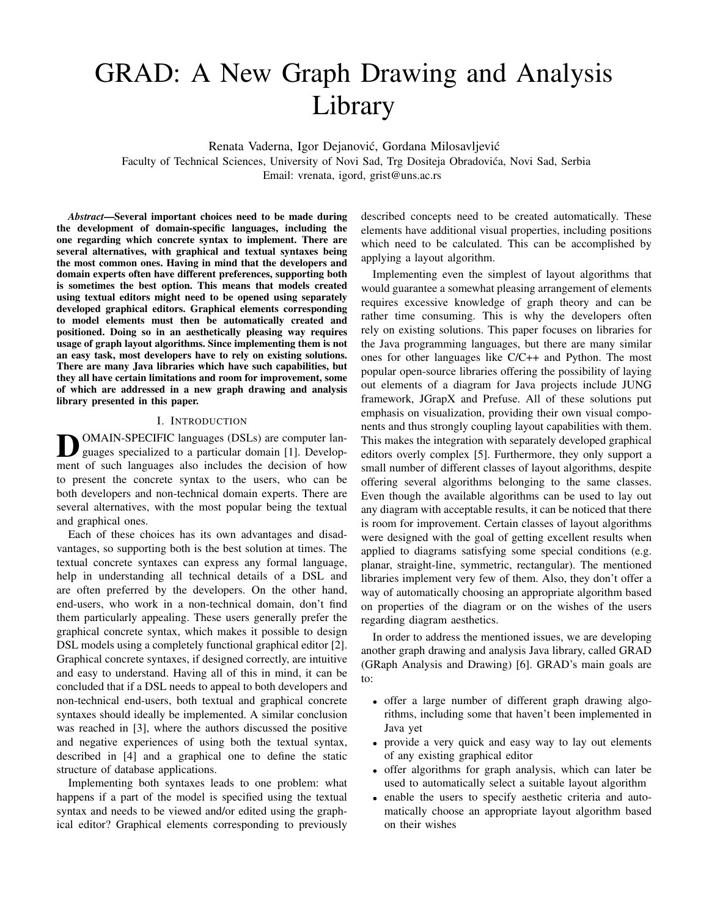# GRAD: A New Graph Drawing and Analysis Library

Renata Vaderna, Igor Dejanović, Gordana Milosavljević

Faculty of Technical Sciences, University of Novi Sad, Trg Dositeja Obradovica, Novi Sad, Serbia ´ Email: vrenata, igord, grist@uns.ac.rs

*Abstract*—Several important choices need to be made during the development of domain-specific languages, including the one regarding which concrete syntax to implement. There are several alternatives, with graphical and textual syntaxes being the most common ones. Having in mind that the developers and domain experts often have different preferences, supporting both is sometimes the best option. This means that models created using textual editors might need to be opened using separately developed graphical editors. Graphical elements corresponding to model elements must then be automatically created and positioned. Doing so in an aesthetically pleasing way requires usage of graph layout algorithms. Since implementing them is not an easy task, most developers have to rely on existing solutions. There are many Java libraries which have such capabilities, but they all have certain limitations and room for improvement, some of which are addressed in a new graph drawing and analysis library presented in this paper.

## I. INTRODUCTION

**D**OMAIN-SPECIFIC languages (DSLs) are computer languages specialized to a particular domain [1]. Development of such languages also includes the decision of how OMAIN-SPECIFIC languages (DSLs) are computer languages specialized to a particular domain [1]. Developto present the concrete syntax to the users, who can be both developers and non-technical domain experts. There are several alternatives, with the most popular being the textual and graphical ones.

Each of these choices has its own advantages and disadvantages, so supporting both is the best solution at times. The textual concrete syntaxes can express any formal language, help in understanding all technical details of a DSL and are often preferred by the developers. On the other hand, end-users, who work in a non-technical domain, don't find them particularly appealing. These users generally prefer the graphical concrete syntax, which makes it possible to design DSL models using a completely functional graphical editor [2]. Graphical concrete syntaxes, if designed correctly, are intuitive and easy to understand. Having all of this in mind, it can be concluded that if a DSL needs to appeal to both developers and non-technical end-users, both textual and graphical concrete syntaxes should ideally be implemented. A similar conclusion was reached in [3], where the authors discussed the positive and negative experiences of using both the textual syntax, described in [4] and a graphical one to define the static structure of database applications.

Implementing both syntaxes leads to one problem: what happens if a part of the model is specified using the textual syntax and needs to be viewed and/or edited using the graphical editor? Graphical elements corresponding to previously described concepts need to be created automatically. These elements have additional visual properties, including positions which need to be calculated. This can be accomplished by applying a layout algorithm.

Implementing even the simplest of layout algorithms that would guarantee a somewhat pleasing arrangement of elements requires excessive knowledge of graph theory and can be rather time consuming. This is why the developers often rely on existing solutions. This paper focuses on libraries for the Java programming languages, but there are many similar ones for other languages like C/C++ and Python. The most popular open-source libraries offering the possibility of laying out elements of a diagram for Java projects include JUNG framework, JGrapX and Prefuse. All of these solutions put emphasis on visualization, providing their own visual components and thus strongly coupling layout capabilities with them. This makes the integration with separately developed graphical editors overly complex [5]. Furthermore, they only support a small number of different classes of layout algorithms, despite offering several algorithms belonging to the same classes. Even though the available algorithms can be used to lay out any diagram with acceptable results, it can be noticed that there is room for improvement. Certain classes of layout algorithms were designed with the goal of getting excellent results when applied to diagrams satisfying some special conditions (e.g. planar, straight-line, symmetric, rectangular). The mentioned libraries implement very few of them. Also, they don't offer a way of automatically choosing an appropriate algorithm based on properties of the diagram or on the wishes of the users regarding diagram aesthetics.

In order to address the mentioned issues, we are developing another graph drawing and analysis Java library, called GRAD (GRaph Analysis and Drawing) [6]. GRAD's main goals are to:

- offer a large number of different graph drawing algorithms, including some that haven't been implemented in Java yet
- provide a very quick and easy way to lay out elements of any existing graphical editor
- offer algorithms for graph analysis, which can later be used to automatically select a suitable layout algorithm
- enable the users to specify aesthetic criteria and automatically choose an appropriate layout algorithm based on their wishes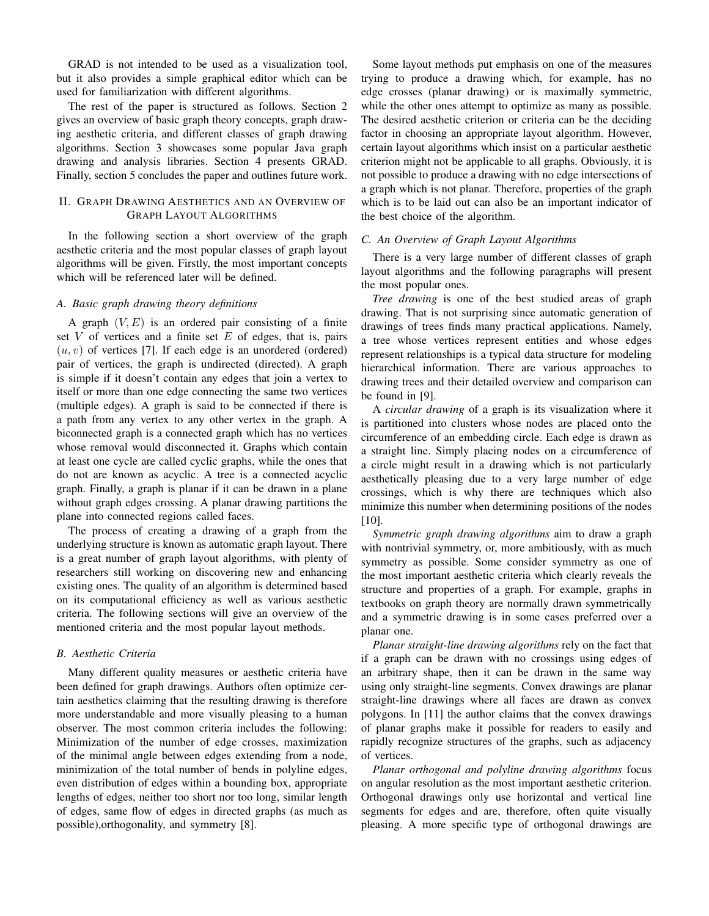GRAD is not intended to be used as a visualization tool, but it also provides a simple graphical editor which can be used for familiarization with different algorithms.

The rest of the paper is structured as follows. Section 2 gives an overview of basic graph theory concepts, graph drawing aesthetic criteria, and different classes of graph drawing algorithms. Section 3 showcases some popular Java graph drawing and analysis libraries. Section 4 presents GRAD. Finally, section 5 concludes the paper and outlines future work.

# II. GRAPH DRAWING AESTHETICS AND AN OVERVIEW OF GRAPH LAYOUT ALGORITHMS

In the following section a short overview of the graph aesthetic criteria and the most popular classes of graph layout algorithms will be given. Firstly, the most important concepts which will be referenced later will be defined.

## *A. Basic graph drawing theory definitions*

A graph  $(V, E)$  is an ordered pair consisting of a finite set  $V$  of vertices and a finite set  $E$  of edges, that is, pairs  $(u, v)$  of vertices [7]. If each edge is an unordered (ordered) pair of vertices, the graph is undirected (directed). A graph is simple if it doesn't contain any edges that join a vertex to itself or more than one edge connecting the same two vertices (multiple edges). A graph is said to be connected if there is a path from any vertex to any other vertex in the graph. A biconnected graph is a connected graph which has no vertices whose removal would disconnected it. Graphs which contain at least one cycle are called cyclic graphs, while the ones that do not are known as acyclic. A tree is a connected acyclic graph. Finally, a graph is planar if it can be drawn in a plane without graph edges crossing. A planar drawing partitions the plane into connected regions called faces.

The process of creating a drawing of a graph from the underlying structure is known as automatic graph layout. There is a great number of graph layout algorithms, with plenty of researchers still working on discovering new and enhancing existing ones. The quality of an algorithm is determined based on its computational efficiency as well as various aesthetic criteria. The following sections will give an overview of the mentioned criteria and the most popular layout methods.

# *B. Aesthetic Criteria*

Many different quality measures or aesthetic criteria have been defined for graph drawings. Authors often optimize certain aesthetics claiming that the resulting drawing is therefore more understandable and more visually pleasing to a human observer. The most common criteria includes the following: Minimization of the number of edge crosses, maximization of the minimal angle between edges extending from a node, minimization of the total number of bends in polyline edges, even distribution of edges within a bounding box, appropriate lengths of edges, neither too short nor too long, similar length of edges, same flow of edges in directed graphs (as much as possible),orthogonality, and symmetry [8].

Some layout methods put emphasis on one of the measures trying to produce a drawing which, for example, has no edge crosses (planar drawing) or is maximally symmetric, while the other ones attempt to optimize as many as possible. The desired aesthetic criterion or criteria can be the deciding factor in choosing an appropriate layout algorithm. However, certain layout algorithms which insist on a particular aesthetic criterion might not be applicable to all graphs. Obviously, it is not possible to produce a drawing with no edge intersections of a graph which is not planar. Therefore, properties of the graph which is to be laid out can also be an important indicator of the best choice of the algorithm.

# *C. An Overview of Graph Layout Algorithms*

There is a very large number of different classes of graph layout algorithms and the following paragraphs will present the most popular ones.

*Tree drawing* is one of the best studied areas of graph drawing. That is not surprising since automatic generation of drawings of trees finds many practical applications. Namely, a tree whose vertices represent entities and whose edges represent relationships is a typical data structure for modeling hierarchical information. There are various approaches to drawing trees and their detailed overview and comparison can be found in [9].

A *circular drawing* of a graph is its visualization where it is partitioned into clusters whose nodes are placed onto the circumference of an embedding circle. Each edge is drawn as a straight line. Simply placing nodes on a circumference of a circle might result in a drawing which is not particularly aesthetically pleasing due to a very large number of edge crossings, which is why there are techniques which also minimize this number when determining positions of the nodes [10].

*Symmetric graph drawing algorithms* aim to draw a graph with nontrivial symmetry, or, more ambitiously, with as much symmetry as possible. Some consider symmetry as one of the most important aesthetic criteria which clearly reveals the structure and properties of a graph. For example, graphs in textbooks on graph theory are normally drawn symmetrically and a symmetric drawing is in some cases preferred over a planar one.

*Planar straight-line drawing algorithms* rely on the fact that if a graph can be drawn with no crossings using edges of an arbitrary shape, then it can be drawn in the same way using only straight-line segments. Convex drawings are planar straight-line drawings where all faces are drawn as convex polygons. In [11] the author claims that the convex drawings of planar graphs make it possible for readers to easily and rapidly recognize structures of the graphs, such as adjacency of vertices.

*Planar orthogonal and polyline drawing algorithms* focus on angular resolution as the most important aesthetic criterion. Orthogonal drawings only use horizontal and vertical line segments for edges and are, therefore, often quite visually pleasing. A more specific type of orthogonal drawings are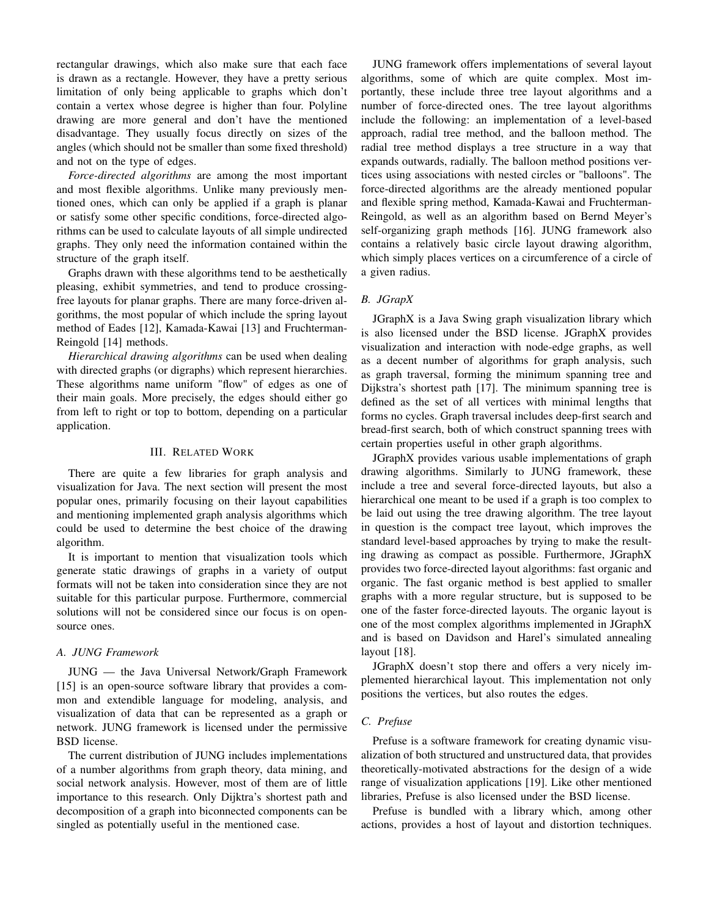rectangular drawings, which also make sure that each face is drawn as a rectangle. However, they have a pretty serious limitation of only being applicable to graphs which don't contain a vertex whose degree is higher than four. Polyline drawing are more general and don't have the mentioned disadvantage. They usually focus directly on sizes of the angles (which should not be smaller than some fixed threshold) and not on the type of edges.

*Force-directed algorithms* are among the most important and most flexible algorithms. Unlike many previously mentioned ones, which can only be applied if a graph is planar or satisfy some other specific conditions, force-directed algorithms can be used to calculate layouts of all simple undirected graphs. They only need the information contained within the structure of the graph itself.

Graphs drawn with these algorithms tend to be aesthetically pleasing, exhibit symmetries, and tend to produce crossingfree layouts for planar graphs. There are many force-driven algorithms, the most popular of which include the spring layout method of Eades [12], Kamada-Kawai [13] and Fruchterman-Reingold [14] methods.

*Hierarchical drawing algorithms* can be used when dealing with directed graphs (or digraphs) which represent hierarchies. These algorithms name uniform "flow" of edges as one of their main goals. More precisely, the edges should either go from left to right or top to bottom, depending on a particular application.

# III. RELATED WORK

There are quite a few libraries for graph analysis and visualization for Java. The next section will present the most popular ones, primarily focusing on their layout capabilities and mentioning implemented graph analysis algorithms which could be used to determine the best choice of the drawing algorithm.

It is important to mention that visualization tools which generate static drawings of graphs in a variety of output formats will not be taken into consideration since they are not suitable for this particular purpose. Furthermore, commercial solutions will not be considered since our focus is on opensource ones.

#### *A. JUNG Framework*

JUNG — the Java Universal Network/Graph Framework [15] is an open-source software library that provides a common and extendible language for modeling, analysis, and visualization of data that can be represented as a graph or network. JUNG framework is licensed under the permissive BSD license.

The current distribution of JUNG includes implementations of a number algorithms from graph theory, data mining, and social network analysis. However, most of them are of little importance to this research. Only Dijktra's shortest path and decomposition of a graph into biconnected components can be singled as potentially useful in the mentioned case.

JUNG framework offers implementations of several layout algorithms, some of which are quite complex. Most importantly, these include three tree layout algorithms and a number of force-directed ones. The tree layout algorithms include the following: an implementation of a level-based approach, radial tree method, and the balloon method. The radial tree method displays a tree structure in a way that expands outwards, radially. The balloon method positions vertices using associations with nested circles or "balloons". The force-directed algorithms are the already mentioned popular and flexible spring method, Kamada-Kawai and Fruchterman-Reingold, as well as an algorithm based on Bernd Meyer's self-organizing graph methods [16]. JUNG framework also contains a relatively basic circle layout drawing algorithm, which simply places vertices on a circumference of a circle of a given radius.

# *B. JGrapX*

JGraphX is a Java Swing graph visualization library which is also licensed under the BSD license. JGraphX provides visualization and interaction with node-edge graphs, as well as a decent number of algorithms for graph analysis, such as graph traversal, forming the minimum spanning tree and Dijkstra's shortest path [17]. The minimum spanning tree is defined as the set of all vertices with minimal lengths that forms no cycles. Graph traversal includes deep-first search and bread-first search, both of which construct spanning trees with certain properties useful in other graph algorithms.

JGraphX provides various usable implementations of graph drawing algorithms. Similarly to JUNG framework, these include a tree and several force-directed layouts, but also a hierarchical one meant to be used if a graph is too complex to be laid out using the tree drawing algorithm. The tree layout in question is the compact tree layout, which improves the standard level-based approaches by trying to make the resulting drawing as compact as possible. Furthermore, JGraphX provides two force-directed layout algorithms: fast organic and organic. The fast organic method is best applied to smaller graphs with a more regular structure, but is supposed to be one of the faster force-directed layouts. The organic layout is one of the most complex algorithms implemented in JGraphX and is based on Davidson and Harel's simulated annealing layout [18].

JGraphX doesn't stop there and offers a very nicely implemented hierarchical layout. This implementation not only positions the vertices, but also routes the edges.

# *C. Prefuse*

Prefuse is a software framework for creating dynamic visualization of both structured and unstructured data, that provides theoretically-motivated abstractions for the design of a wide range of visualization applications [19]. Like other mentioned libraries, Prefuse is also licensed under the BSD license.

Prefuse is bundled with a library which, among other actions, provides a host of layout and distortion techniques.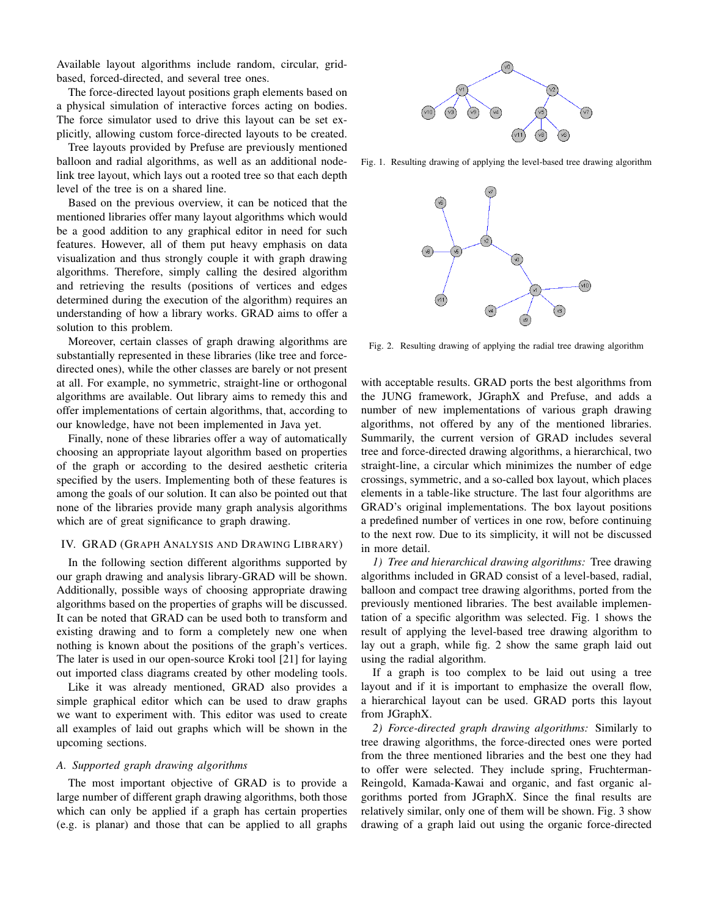Available layout algorithms include random, circular, gridbased, forced-directed, and several tree ones.

The force-directed layout positions graph elements based on a physical simulation of interactive forces acting on bodies. The force simulator used to drive this layout can be set explicitly, allowing custom force-directed layouts to be created.

Tree layouts provided by Prefuse are previously mentioned balloon and radial algorithms, as well as an additional nodelink tree layout, which lays out a rooted tree so that each depth level of the tree is on a shared line.

Based on the previous overview, it can be noticed that the mentioned libraries offer many layout algorithms which would be a good addition to any graphical editor in need for such features. However, all of them put heavy emphasis on data visualization and thus strongly couple it with graph drawing algorithms. Therefore, simply calling the desired algorithm and retrieving the results (positions of vertices and edges determined during the execution of the algorithm) requires an understanding of how a library works. GRAD aims to offer a solution to this problem.

Moreover, certain classes of graph drawing algorithms are substantially represented in these libraries (like tree and forcedirected ones), while the other classes are barely or not present at all. For example, no symmetric, straight-line or orthogonal algorithms are available. Out library aims to remedy this and offer implementations of certain algorithms, that, according to our knowledge, have not been implemented in Java yet.

Finally, none of these libraries offer a way of automatically choosing an appropriate layout algorithm based on properties of the graph or according to the desired aesthetic criteria specified by the users. Implementing both of these features is among the goals of our solution. It can also be pointed out that none of the libraries provide many graph analysis algorithms which are of great significance to graph drawing.

### IV. GRAD (GRAPH ANALYSIS AND DRAWING LIBRARY)

In the following section different algorithms supported by our graph drawing and analysis library-GRAD will be shown. Additionally, possible ways of choosing appropriate drawing algorithms based on the properties of graphs will be discussed. It can be noted that GRAD can be used both to transform and existing drawing and to form a completely new one when nothing is known about the positions of the graph's vertices. The later is used in our open-source Kroki tool [21] for laying out imported class diagrams created by other modeling tools.

Like it was already mentioned, GRAD also provides a simple graphical editor which can be used to draw graphs we want to experiment with. This editor was used to create all examples of laid out graphs which will be shown in the upcoming sections.

#### *A. Supported graph drawing algorithms*

The most important objective of GRAD is to provide a large number of different graph drawing algorithms, both those which can only be applied if a graph has certain properties (e.g. is planar) and those that can be applied to all graphs



Fig. 1. Resulting drawing of applying the level-based tree drawing algorithm



Fig. 2. Resulting drawing of applying the radial tree drawing algorithm

with acceptable results. GRAD ports the best algorithms from the JUNG framework, JGraphX and Prefuse, and adds a number of new implementations of various graph drawing algorithms, not offered by any of the mentioned libraries. Summarily, the current version of GRAD includes several tree and force-directed drawing algorithms, a hierarchical, two straight-line, a circular which minimizes the number of edge crossings, symmetric, and a so-called box layout, which places elements in a table-like structure. The last four algorithms are GRAD's original implementations. The box layout positions a predefined number of vertices in one row, before continuing to the next row. Due to its simplicity, it will not be discussed in more detail.

*1) Tree and hierarchical drawing algorithms:* Tree drawing algorithms included in GRAD consist of a level-based, radial, balloon and compact tree drawing algorithms, ported from the previously mentioned libraries. The best available implementation of a specific algorithm was selected. Fig. 1 shows the result of applying the level-based tree drawing algorithm to lay out a graph, while fig. 2 show the same graph laid out using the radial algorithm.

If a graph is too complex to be laid out using a tree layout and if it is important to emphasize the overall flow, a hierarchical layout can be used. GRAD ports this layout from JGraphX.

*2) Force-directed graph drawing algorithms:* Similarly to tree drawing algorithms, the force-directed ones were ported from the three mentioned libraries and the best one they had to offer were selected. They include spring, Fruchterman-Reingold, Kamada-Kawai and organic, and fast organic algorithms ported from JGraphX. Since the final results are relatively similar, only one of them will be shown. Fig. 3 show drawing of a graph laid out using the organic force-directed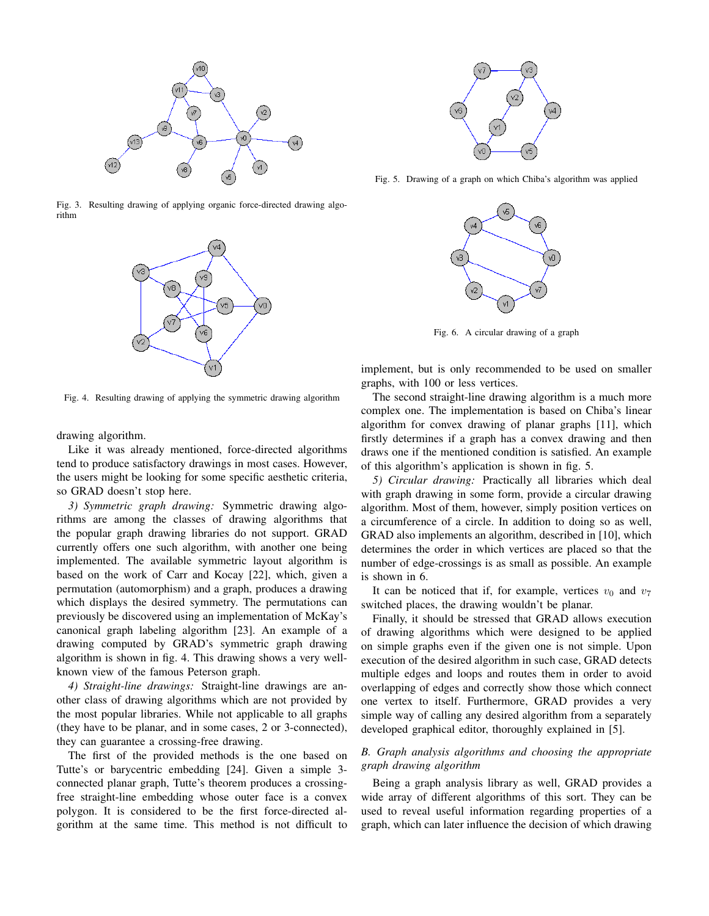

Fig. 3. Resulting drawing of applying organic force-directed drawing algorithm



Fig. 4. Resulting drawing of applying the symmetric drawing algorithm

drawing algorithm.

Like it was already mentioned, force-directed algorithms tend to produce satisfactory drawings in most cases. However, the users might be looking for some specific aesthetic criteria, so GRAD doesn't stop here.

*3) Symmetric graph drawing:* Symmetric drawing algorithms are among the classes of drawing algorithms that the popular graph drawing libraries do not support. GRAD currently offers one such algorithm, with another one being implemented. The available symmetric layout algorithm is based on the work of Carr and Kocay [22], which, given a permutation (automorphism) and a graph, produces a drawing which displays the desired symmetry. The permutations can previously be discovered using an implementation of McKay's canonical graph labeling algorithm [23]. An example of a drawing computed by GRAD's symmetric graph drawing algorithm is shown in fig. 4. This drawing shows a very wellknown view of the famous Peterson graph.

*4) Straight-line drawings:* Straight-line drawings are another class of drawing algorithms which are not provided by the most popular libraries. While not applicable to all graphs (they have to be planar, and in some cases, 2 or 3-connected), they can guarantee a crossing-free drawing.

The first of the provided methods is the one based on Tutte's or barycentric embedding [24]. Given a simple 3 connected planar graph, Tutte's theorem produces a crossingfree straight-line embedding whose outer face is a convex polygon. It is considered to be the first force-directed algorithm at the same time. This method is not difficult to



Fig. 5. Drawing of a graph on which Chiba's algorithm was applied



Fig. 6. A circular drawing of a graph

implement, but is only recommended to be used on smaller graphs, with 100 or less vertices.

The second straight-line drawing algorithm is a much more complex one. The implementation is based on Chiba's linear algorithm for convex drawing of planar graphs [11], which firstly determines if a graph has a convex drawing and then draws one if the mentioned condition is satisfied. An example of this algorithm's application is shown in fig. 5.

*5) Circular drawing:* Practically all libraries which deal with graph drawing in some form, provide a circular drawing algorithm. Most of them, however, simply position vertices on a circumference of a circle. In addition to doing so as well, GRAD also implements an algorithm, described in [10], which determines the order in which vertices are placed so that the number of edge-crossings is as small as possible. An example is shown in 6.

It can be noticed that if, for example, vertices  $v_0$  and  $v_7$ switched places, the drawing wouldn't be planar.

Finally, it should be stressed that GRAD allows execution of drawing algorithms which were designed to be applied on simple graphs even if the given one is not simple. Upon execution of the desired algorithm in such case, GRAD detects multiple edges and loops and routes them in order to avoid overlapping of edges and correctly show those which connect one vertex to itself. Furthermore, GRAD provides a very simple way of calling any desired algorithm from a separately developed graphical editor, thoroughly explained in [5].

# *B. Graph analysis algorithms and choosing the appropriate graph drawing algorithm*

Being a graph analysis library as well, GRAD provides a wide array of different algorithms of this sort. They can be used to reveal useful information regarding properties of a graph, which can later influence the decision of which drawing